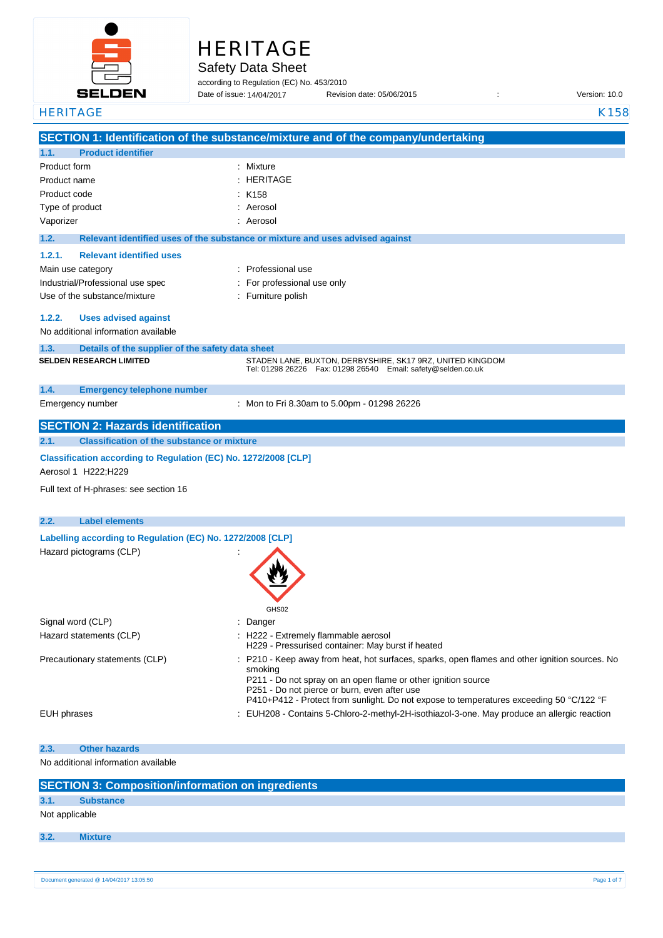

# HERITAGE

Safety Data Sheet

according to Regulation (EC) No. 453/2010 Date of issue: Revision date: 05/06/2015 : Version: 10.0 14/04/2017

**SECTION 1: Identification of the substance/mixture and of the company/undertaking 1.1. Product identifier** Product form : Nixture : Mixture Product name : Product code : Type of product in the set of the set of the set of the set of the set of the set of the set of the set of the set of the set of the set of the set of the set of the set of the set of the set of the set of the set of the s Vaporizer : Aerosol **1.2. Relevant identified uses of the substance or mixture and uses advised against 1.2.1. Relevant identified uses**  Main use category **Example 20** and the Main use of Professional use Industrial/Professional use spec : For professional use only Use of the substance/mixture in the substance in the set of the substance in the substance in the set of the substance in the substance in the substance in the substance in the substance in the substance in the substance i **1.2.2. Uses advised against** No additional information available **1.3. Details of the supplier of the safety data sheet 1.4. Emergency telephone number** Emergency number : **SECTION 2: Hazards identification 2.1. Classification of the substance or mixture Classification according to Regulation (EC) No. 1272/2008 [CLP]** Aerosol 1 H222;H229 Full text of H-phrases: see section 16 **2.2. Label elements Labelling according to Regulation (EC) No. 1272/2008 [CLP]** Hazard pictograms (CLP) : GHS02 Signal word (CLP)  $\qquad \qquad$ : Danger Hazard statements (CLP)  $\qquad \qquad$  : H222 - Extremely flammable aerosol H229 - Pressurised container: May burst if heated Precautionary statements (CLP) : P210 - Keep away from heat, hot surfaces, sparks, open flames and other ignition sources. No smoking P211 - Do not spray on an open flame or other ignition source P251 - Do not pierce or burn, even after use P410+P412 - Protect from sunlight. Do not expose to temperatures exceeding 50 °C/122 °F EUH phrases **in the state of the EUH208** - Contains 5-Chloro-2-methyl-2H-isothiazol-3-one. May produce an allergic reaction **2.3. Other hazards** No additional information available **SECTION 3: Composition/information on ingredients 3.1. Substance** Not applicable HERITAGE K158  $\cdot$  HERITAGE  $:$  K158 **SELDEN RESEARCH LIMITED** STADEN LANE, BUXTON, DERBYSHIRE, SK17 9RZ, UNITED KINGDOM Tel: 01298 26226 Fax: 01298 26540 Email: safety@selden.co.uk Mon to Fri 8.30am to 5.00pm - 01298 26226

**3.2. Mixture**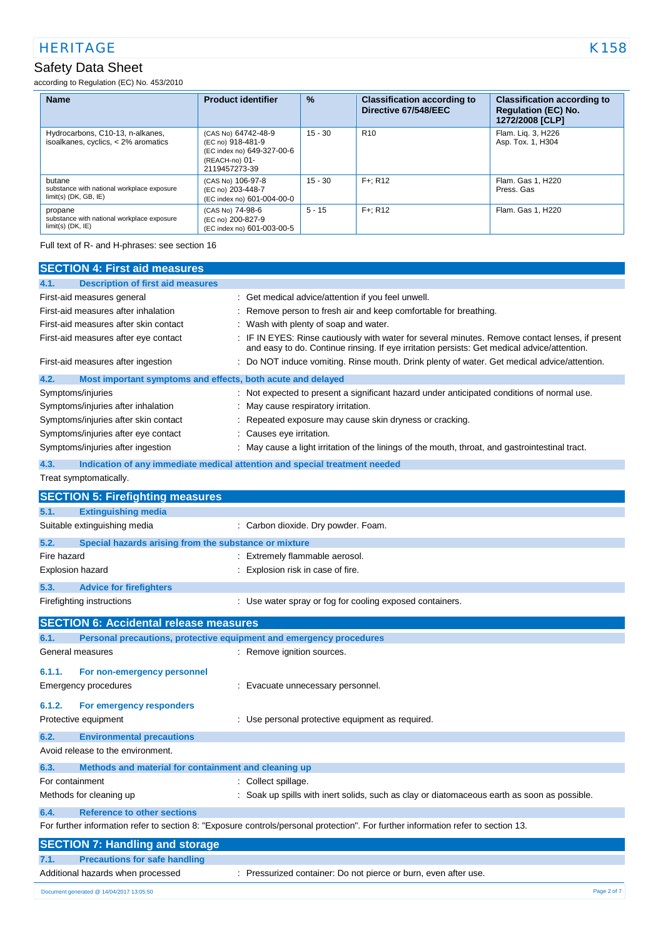### Safety Data Sheet

according to Regulation (EC) No. 453/2010

| <b>Name</b>                                                                     | <b>Product identifier</b>                                                                                 | $\frac{9}{6}$ | <b>Classification according to</b><br>Directive 67/548/EEC | <b>Classification according to</b><br><b>Regulation (EC) No.</b><br>1272/2008 [CLP] |
|---------------------------------------------------------------------------------|-----------------------------------------------------------------------------------------------------------|---------------|------------------------------------------------------------|-------------------------------------------------------------------------------------|
| Hydrocarbons, C10-13, n-alkanes,<br>isoalkanes, cyclics, < 2% aromatics         | (CAS No) 64742-48-9<br>(EC no) 918-481-9<br>(EC index no) 649-327-00-6<br>(REACH-no) 01-<br>2119457273-39 | $15 - 30$     | R <sub>10</sub>                                            | Flam. Lig. 3, H226<br>Asp. Tox. 1, H304                                             |
| butane<br>substance with national workplace exposure<br>$limit(s)$ (DK, GB, IE) | (CAS No) 106-97-8<br>(EC no) 203-448-7<br>(EC index no) 601-004-00-0                                      | $15 - 30$     | $F +: R12$                                                 | Flam, Gas 1, H220<br>Press, Gas                                                     |
| propane<br>substance with national workplace exposure<br>$limit(s)$ (DK, IE)    | (CAS No) 74-98-6<br>(EC no) 200-827-9<br>(EC index no) 601-003-00-5                                       | $5 - 15$      | $F +: R12$                                                 | Flam. Gas 1, H220                                                                   |

Full text of R- and H-phrases: see section 16

| <b>SECTION 4: First aid measures</b>                                        |                                                                                                                                                                                               |  |  |  |  |
|-----------------------------------------------------------------------------|-----------------------------------------------------------------------------------------------------------------------------------------------------------------------------------------------|--|--|--|--|
| <b>Description of first aid measures</b><br>4.1.                            |                                                                                                                                                                                               |  |  |  |  |
| First-aid measures general                                                  | : Get medical advice/attention if you feel unwell.                                                                                                                                            |  |  |  |  |
| First-aid measures after inhalation                                         | Remove person to fresh air and keep comfortable for breathing.                                                                                                                                |  |  |  |  |
| First-aid measures after skin contact                                       | Wash with plenty of soap and water.                                                                                                                                                           |  |  |  |  |
| First-aid measures after eye contact                                        | IF IN EYES: Rinse cautiously with water for several minutes. Remove contact lenses, if present<br>and easy to do. Continue rinsing. If eye irritation persists: Get medical advice/attention. |  |  |  |  |
| First-aid measures after ingestion                                          | Do NOT induce vomiting. Rinse mouth. Drink plenty of water. Get medical advice/attention.                                                                                                     |  |  |  |  |
| 4.2.<br>Most important symptoms and effects, both acute and delayed         |                                                                                                                                                                                               |  |  |  |  |
| Symptoms/injuries                                                           | Not expected to present a significant hazard under anticipated conditions of normal use.                                                                                                      |  |  |  |  |
| Symptoms/injuries after inhalation                                          | May cause respiratory irritation.                                                                                                                                                             |  |  |  |  |
| Symptoms/injuries after skin contact                                        | Repeated exposure may cause skin dryness or cracking.                                                                                                                                         |  |  |  |  |
| Symptoms/injuries after eye contact                                         | Causes eye irritation.                                                                                                                                                                        |  |  |  |  |
| Symptoms/injuries after ingestion                                           | May cause a light irritation of the linings of the mouth, throat, and gastrointestinal tract.                                                                                                 |  |  |  |  |
| 4.3.                                                                        | Indication of any immediate medical attention and special treatment needed                                                                                                                    |  |  |  |  |
| Treat symptomatically.                                                      |                                                                                                                                                                                               |  |  |  |  |
|                                                                             |                                                                                                                                                                                               |  |  |  |  |
| <b>SECTION 5: Firefighting measures</b>                                     |                                                                                                                                                                                               |  |  |  |  |
| 5.1.<br><b>Extinguishing media</b>                                          |                                                                                                                                                                                               |  |  |  |  |
| Suitable extinguishing media                                                | : Carbon dioxide. Dry powder. Foam.                                                                                                                                                           |  |  |  |  |
| 5.2.<br>Special hazards arising from the substance or mixture               |                                                                                                                                                                                               |  |  |  |  |
| Fire hazard                                                                 | Extremely flammable aerosol.                                                                                                                                                                  |  |  |  |  |
| Explosion hazard                                                            | Explosion risk in case of fire.                                                                                                                                                               |  |  |  |  |
| 5.3.<br><b>Advice for firefighters</b>                                      |                                                                                                                                                                                               |  |  |  |  |
| Firefighting instructions                                                   | : Use water spray or fog for cooling exposed containers.                                                                                                                                      |  |  |  |  |
| <b>SECTION 6: Accidental release measures</b>                               |                                                                                                                                                                                               |  |  |  |  |
| 6.1.<br>Personal precautions, protective equipment and emergency procedures |                                                                                                                                                                                               |  |  |  |  |
| General measures                                                            | : Remove ignition sources.                                                                                                                                                                    |  |  |  |  |
| 6.1.1.                                                                      |                                                                                                                                                                                               |  |  |  |  |
| For non-emergency personnel                                                 |                                                                                                                                                                                               |  |  |  |  |
| Emergency procedures                                                        | : Evacuate unnecessary personnel.                                                                                                                                                             |  |  |  |  |
| 6.1.2.<br>For emergency responders                                          |                                                                                                                                                                                               |  |  |  |  |
| Protective equipment                                                        | : Use personal protective equipment as required.                                                                                                                                              |  |  |  |  |
| 6.2.<br><b>Environmental precautions</b>                                    |                                                                                                                                                                                               |  |  |  |  |
| Avoid release to the environment.                                           |                                                                                                                                                                                               |  |  |  |  |
| Methods and material for containment and cleaning up<br>6.3.                |                                                                                                                                                                                               |  |  |  |  |
| For containment                                                             | : Collect spillage.                                                                                                                                                                           |  |  |  |  |
| Methods for cleaning up                                                     | Soak up spills with inert solids, such as clay or diatomaceous earth as soon as possible.                                                                                                     |  |  |  |  |
| 6.4.<br><b>Reference to other sections</b>                                  |                                                                                                                                                                                               |  |  |  |  |
|                                                                             | For further information refer to section 8: "Exposure controls/personal protection". For further information refer to section 13.                                                             |  |  |  |  |
| <b>SECTION 7: Handling and storage</b>                                      |                                                                                                                                                                                               |  |  |  |  |
| <b>Precautions for safe handling</b><br>7.1.                                |                                                                                                                                                                                               |  |  |  |  |
| Additional hazards when processed                                           | : Pressurized container: Do not pierce or burn, even after use.                                                                                                                               |  |  |  |  |
| Document generated @ 14/04/2017 13:05:50                                    | Page 2 of 7                                                                                                                                                                                   |  |  |  |  |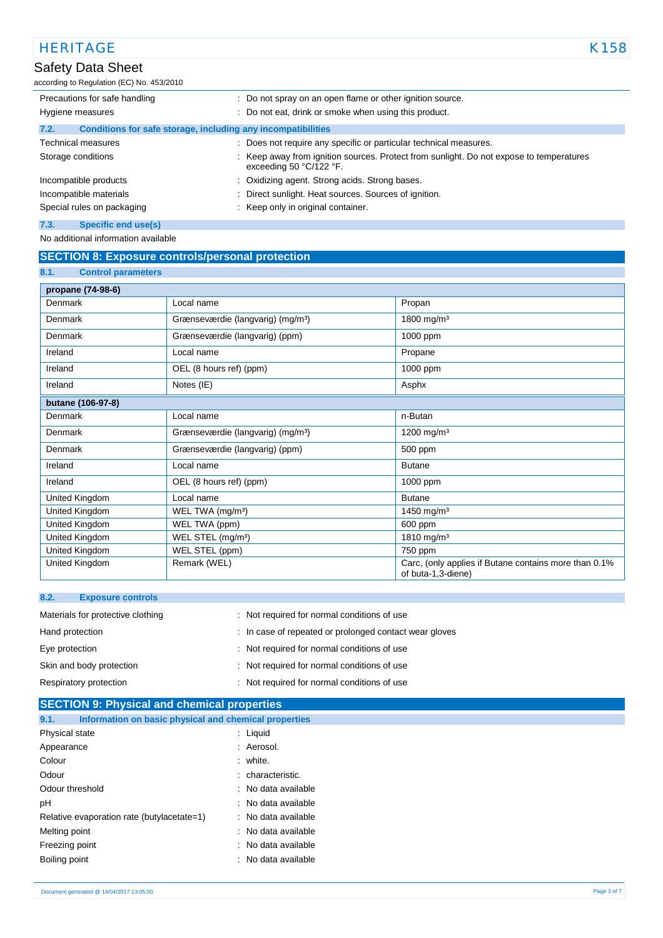## Safety Data Sheet

according to Regulation (EC) No. 453/2010

| Precautions for safe handling                                        | : Do not spray on an open flame or other ignition source.                                                        |
|----------------------------------------------------------------------|------------------------------------------------------------------------------------------------------------------|
| Hygiene measures                                                     | : Do not eat, drink or smoke when using this product.                                                            |
| Conditions for safe storage, including any incompatibilities<br>7.2. |                                                                                                                  |
| <b>Technical measures</b>                                            | : Does not require any specific or particular technical measures.                                                |
| Storage conditions                                                   | Keep away from ignition sources. Protect from sunlight. Do not expose to temperatures<br>exceeding 50 °C/122 °F. |
| Incompatible products                                                | : Oxidizing agent. Strong acids. Strong bases.                                                                   |
| Incompatible materials                                               | Direct sunlight. Heat sources. Sources of ignition.                                                              |
| Special rules on packaging                                           | : Keep only in original container.                                                                               |
| 7.3.<br>Specific end use(s)                                          |                                                                                                                  |

No additional information available

### **SECTION 8: Exposure controls/personal protection**

| 8.1.<br><b>Control parameters</b> |                                               |                                                                             |
|-----------------------------------|-----------------------------------------------|-----------------------------------------------------------------------------|
| propane (74-98-6)                 |                                               |                                                                             |
| Denmark                           | Local name                                    | Propan                                                                      |
| Denmark                           | Grænseværdie (langvarig) (mg/m <sup>3</sup> ) | 1800 mg/m <sup>3</sup>                                                      |
| Denmark                           | Grænseværdie (langvarig) (ppm)                | 1000 ppm                                                                    |
| Ireland                           | Local name                                    | Propane                                                                     |
| Ireland                           | OEL (8 hours ref) (ppm)                       | 1000 ppm                                                                    |
| Ireland                           | Notes (IE)                                    | Asphx                                                                       |
| butane (106-97-8)                 |                                               |                                                                             |
| Denmark                           | Local name                                    | n-Butan                                                                     |
| Denmark                           | Grænseværdie (langvarig) (mg/m <sup>3</sup> ) | 1200 mg/m <sup>3</sup>                                                      |
| Denmark                           | Grænseværdie (langvarig) (ppm)                | 500 ppm                                                                     |
| Ireland                           | Local name                                    | <b>Butane</b>                                                               |
| Ireland                           | OEL (8 hours ref) (ppm)                       | 1000 ppm                                                                    |
| United Kingdom                    | Local name                                    | <b>Butane</b>                                                               |
| United Kingdom                    | WEL TWA (mg/m <sup>3</sup> )                  | 1450 mg/m <sup>3</sup>                                                      |
| United Kingdom                    | WEL TWA (ppm)                                 | 600 ppm                                                                     |
| United Kingdom                    | WEL STEL (mg/m <sup>3</sup> )                 | 1810 mg/m <sup>3</sup>                                                      |
| United Kingdom                    | WEL STEL (ppm)                                | 750 ppm                                                                     |
| United Kingdom                    | Remark (WEL)                                  | Carc, (only applies if Butane contains more than 0.1%<br>of buta-1,3-diene) |

| 8.2.            | <b>Exposure controls</b>          |                                                        |
|-----------------|-----------------------------------|--------------------------------------------------------|
|                 | Materials for protective clothing | : Not required for normal conditions of use            |
| Hand protection |                                   | : In case of repeated or prolonged contact wear gloves |
| Eye protection  |                                   | : Not required for normal conditions of use            |
|                 | Skin and body protection          | : Not required for normal conditions of use            |
|                 | Respiratory protection            | : Not required for normal conditions of use            |
|                 |                                   |                                                        |

| <b>SECTION 9: Physical and chemical properties</b>            |                     |  |  |
|---------------------------------------------------------------|---------------------|--|--|
| Information on basic physical and chemical properties<br>9.1. |                     |  |  |
| Physical state                                                | $:$ Liquid          |  |  |
| Appearance                                                    | : Aerosol.          |  |  |
| Colour                                                        | : white.            |  |  |
| Odour                                                         | : characteristic.   |  |  |
| Odour threshold                                               | : No data available |  |  |
| рH                                                            | : No data available |  |  |
| Relative evaporation rate (butylacetate=1)                    | : No data available |  |  |
| Melting point                                                 | : No data available |  |  |
| Freezing point                                                | : No data available |  |  |
| Boiling point                                                 | : No data available |  |  |
|                                                               |                     |  |  |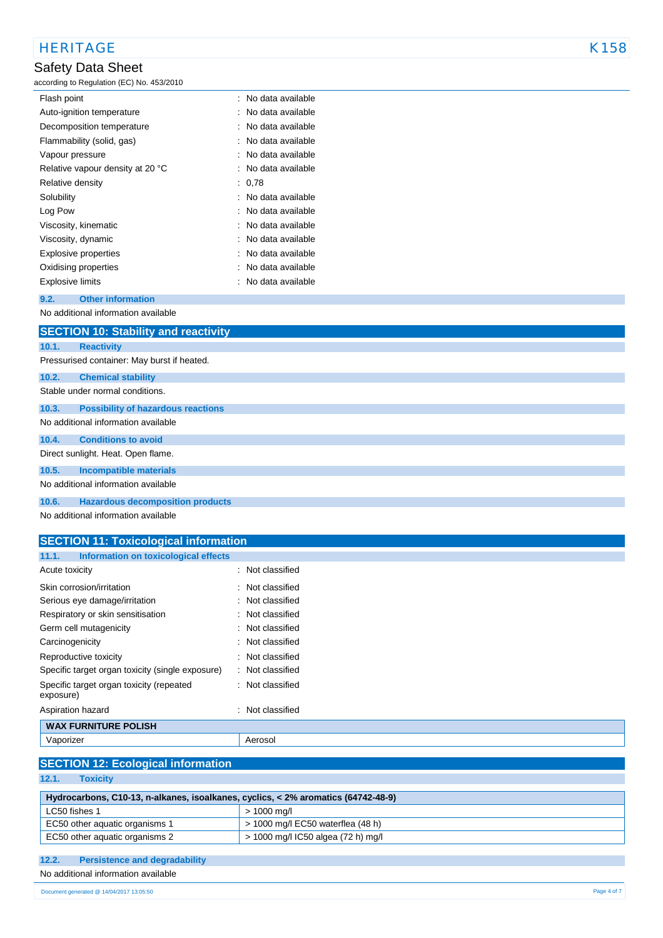# HERITAGE K158

# Safety Data Sheet

#### according to Regulation (EC) No. 453/2010

| : No data available |
|---------------------|
| : No data available |
| : No data available |
| : No data available |
| : No data available |
| : No data available |
| : 0,78              |
| : No data available |
| : No data available |
| : No data available |
| : No data available |
| : No data available |
| : No data available |
| : No data available |
|                     |

### **9.2. Other information**

No additional information available

|       | <b>SECTION 10: Stability and reactivity</b> |
|-------|---------------------------------------------|
| 10.1. | <b>Reactivity</b>                           |
|       | Pressurised container: May burst if heated. |
| 10.2. | <b>Chemical stability</b>                   |
|       | Stable under normal conditions.             |
| 10.3. | <b>Possibility of hazardous reactions</b>   |
|       | No additional information available         |
| 10.4. | <b>Conditions to avoid</b>                  |
|       | Direct sunlight. Heat. Open flame.          |
| 10.5. | <b>Incompatible materials</b>               |
|       | No additional information available         |
| 10.6. | <b>Hazardous decomposition products</b>     |
|       |                                             |

No additional information available

#### **SECTION 11: Toxicological information 11.1. Information on toxicological effects**

|                                                       | Acute toxicity                                   |  | : Not classified            |
|-------------------------------------------------------|--------------------------------------------------|--|-----------------------------|
|                                                       | Skin corrosion/irritation                        |  | : Not classified            |
|                                                       | Serious eye damage/irritation                    |  | : Not classified            |
|                                                       | Respiratory or skin sensitisation                |  | : Not classified            |
|                                                       | Germ cell mutagenicity                           |  | $\therefore$ Not classified |
|                                                       | Carcinogenicity                                  |  | : Not classified            |
|                                                       | Reproductive toxicity                            |  | $\therefore$ Not classified |
|                                                       | Specific target organ toxicity (single exposure) |  | : Not classified            |
| Specific target organ toxicity (repeated<br>exposure) |                                                  |  | : Not classified            |
|                                                       | Aspiration hazard                                |  | : Not classified            |
|                                                       | <b>WAX FURNITURE POLISH</b>                      |  |                             |
|                                                       | Vaporizer                                        |  | Aerosol                     |

### **SECTION 12: Ecological information**

**12.1. Toxicity**

| Hydrocarbons, C10-13, n-alkanes, isoalkanes, cyclics, < 2% aromatics (64742-48-9) |                                     |  |
|-----------------------------------------------------------------------------------|-------------------------------------|--|
| LC50 fishes 1                                                                     | > 1000 ma/l                         |  |
| EC50 other aguatic organisms 1                                                    | $>$ 1000 mg/l EC50 waterflea (48 h) |  |
| EC50 other aquatic organisms 2                                                    | > 1000 mg/l IC50 algea (72 h) mg/l  |  |

### **12.2. Persistence and degradability**

No additional information available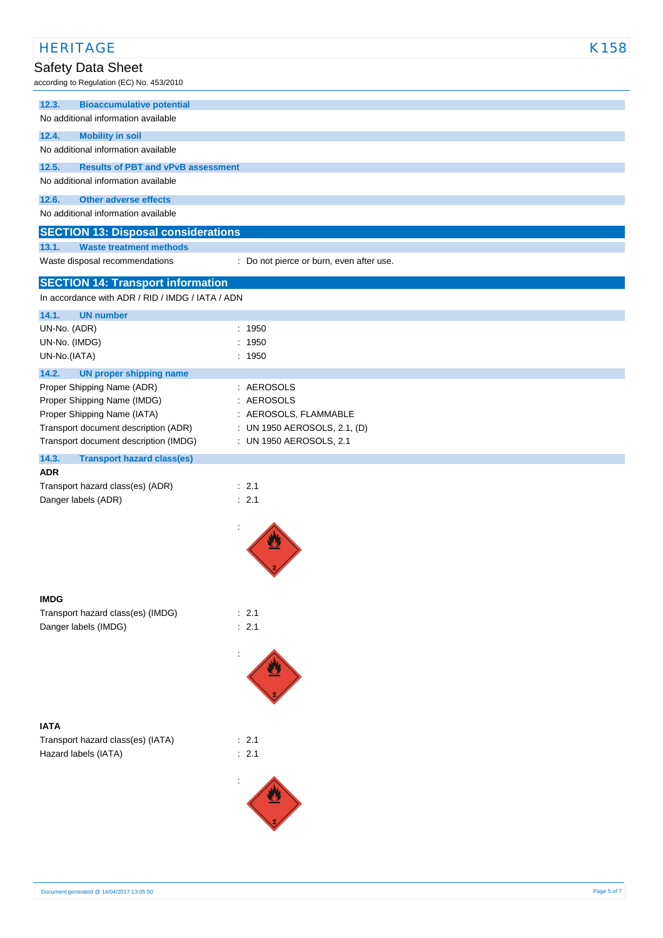| <b>HERITAGE</b>                                                                       |                                                         | K158 |
|---------------------------------------------------------------------------------------|---------------------------------------------------------|------|
| Safety Data Sheet                                                                     |                                                         |      |
| according to Regulation (EC) No. 453/2010                                             |                                                         |      |
| <b>Bioaccumulative potential</b><br>12.3.                                             |                                                         |      |
| No additional information available                                                   |                                                         |      |
| 12.4.<br><b>Mobility in soil</b>                                                      |                                                         |      |
| No additional information available                                                   |                                                         |      |
| 12.5.<br><b>Results of PBT and vPvB assessment</b>                                    |                                                         |      |
| No additional information available                                                   |                                                         |      |
| 12.6.<br><b>Other adverse effects</b>                                                 |                                                         |      |
| No additional information available                                                   |                                                         |      |
| <b>SECTION 13: Disposal considerations</b><br>13.1.<br><b>Waste treatment methods</b> |                                                         |      |
| Waste disposal recommendations                                                        | : Do not pierce or burn, even after use.                |      |
|                                                                                       |                                                         |      |
| <b>SECTION 14: Transport information</b>                                              |                                                         |      |
| In accordance with ADR / RID / IMDG / IATA / ADN                                      |                                                         |      |
| 14.1.<br><b>UN number</b><br>UN-No. (ADR)                                             | : 1950                                                  |      |
| UN-No. (IMDG)                                                                         | : 1950                                                  |      |
| UN-No.(IATA)                                                                          | : 1950                                                  |      |
| 14.2.<br><b>UN proper shipping name</b>                                               |                                                         |      |
| Proper Shipping Name (ADR)                                                            | : AEROSOLS                                              |      |
| Proper Shipping Name (IMDG)                                                           | : AEROSOLS                                              |      |
| Proper Shipping Name (IATA)                                                           | : AEROSOLS, FLAMMABLE                                   |      |
| Transport document description (ADR)<br>Transport document description (IMDG)         | : UN 1950 AEROSOLS, 2.1, (D)<br>: UN 1950 AEROSOLS, 2.1 |      |
| 14.3.<br><b>Transport hazard class(es)</b>                                            |                                                         |      |
| <b>ADR</b>                                                                            |                                                         |      |
| Transport hazard class(es) (ADR)                                                      | $\therefore$ 2.1                                        |      |
| Danger labels (ADR)                                                                   | : 2.1                                                   |      |
|                                                                                       |                                                         |      |
|                                                                                       | ÷<br>W                                                  |      |
|                                                                                       |                                                         |      |
|                                                                                       |                                                         |      |
|                                                                                       |                                                         |      |
| <b>IMDG</b>                                                                           |                                                         |      |
| Transport hazard class(es) (IMDG)                                                     | : 2.1                                                   |      |
| Danger labels (IMDG)                                                                  | : 2.1                                                   |      |
|                                                                                       |                                                         |      |
|                                                                                       |                                                         |      |
|                                                                                       |                                                         |      |
|                                                                                       |                                                         |      |
|                                                                                       |                                                         |      |
| <b>IATA</b>                                                                           |                                                         |      |
| Transport hazard class(es) (IATA)<br>Hazard labels (IATA)                             | : 2.1<br>: 2.1                                          |      |
|                                                                                       |                                                         |      |
|                                                                                       |                                                         |      |
|                                                                                       |                                                         |      |
|                                                                                       |                                                         |      |
|                                                                                       |                                                         |      |
|                                                                                       |                                                         |      |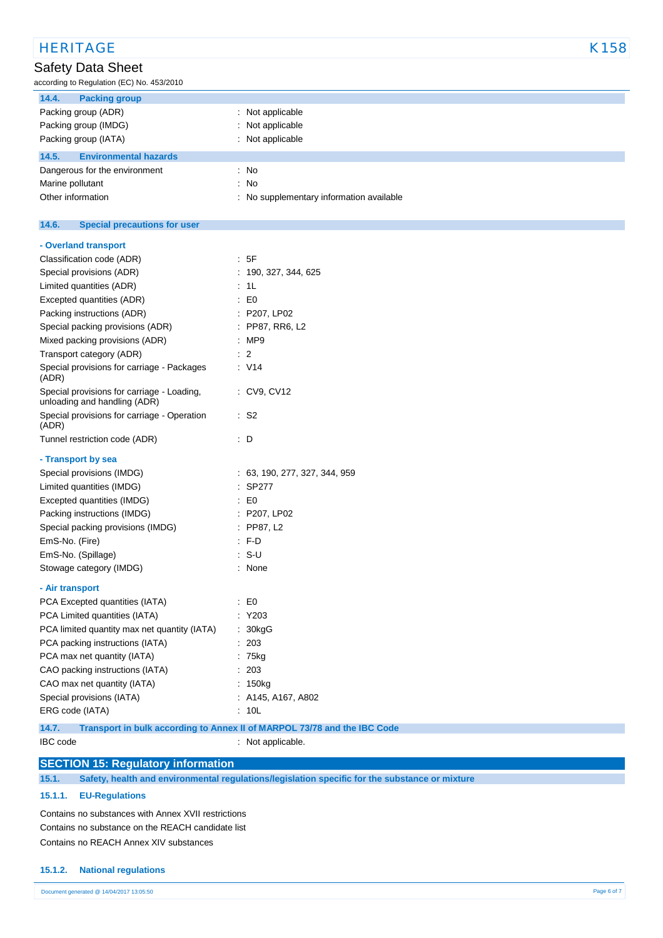| <b>HERITAGE</b>                                                            |                                          | K158 |
|----------------------------------------------------------------------------|------------------------------------------|------|
| Safety Data Sheet                                                          |                                          |      |
| according to Regulation (EC) No. 453/2010                                  |                                          |      |
| 14.4.<br><b>Packing group</b>                                              |                                          |      |
| Packing group (ADR)                                                        | : Not applicable                         |      |
| Packing group (IMDG)                                                       | Not applicable                           |      |
| Packing group (IATA)                                                       | : Not applicable                         |      |
| 14.5.<br><b>Environmental hazards</b>                                      |                                          |      |
| Dangerous for the environment                                              | $\therefore$ No                          |      |
| Marine pollutant                                                           | : No                                     |      |
| Other information                                                          | : No supplementary information available |      |
| 14.6.<br><b>Special precautions for user</b>                               |                                          |      |
| - Overland transport                                                       |                                          |      |
| Classification code (ADR)                                                  | : 5F                                     |      |
| Special provisions (ADR)                                                   | : 190, 327, 344, 625                     |      |
| Limited quantities (ADR)                                                   | : 1L                                     |      |
| Excepted quantities (ADR)                                                  | $\pm 50$                                 |      |
| Packing instructions (ADR)                                                 | : P207, LP02                             |      |
| Special packing provisions (ADR)                                           | : PP87, RR6, L2                          |      |
| Mixed packing provisions (ADR)                                             | : MP9                                    |      |
| Transport category (ADR)                                                   | $\therefore$ 2                           |      |
| Special provisions for carriage - Packages<br>(ADR)                        | $\therefore$ V14                         |      |
| Special provisions for carriage - Loading,<br>unloading and handling (ADR) | : CV9, CV12                              |      |
| Special provisions for carriage - Operation<br>(ADR)                       | $\cdot$ S2                               |      |
| Tunnel restriction code (ADR)                                              | $\therefore$ D                           |      |
| - Transport by sea                                                         |                                          |      |
| Special provisions (IMDG)                                                  | : 63, 190, 277, 327, 344, 959            |      |
| Limited quantities (IMDG)                                                  | $:$ SP277                                |      |
| Excepted quantities (IMDG)                                                 | $\cdot$ EO                               |      |
| Packing instructions (IMDG)                                                | : P207, LP02                             |      |
| Special packing provisions (IMDG)                                          | : PP87, L2                               |      |
| EmS-No. (Fire)                                                             | $:$ F-D                                  |      |
| EmS-No. (Spillage)                                                         | : S-U                                    |      |
| Stowage category (IMDG)                                                    | : None                                   |      |
| - Air transport                                                            |                                          |      |
| PCA Excepted quantities (IATA)                                             | $\therefore$ EO                          |      |
| PCA Limited quantities (IATA)                                              | $:$ Y203                                 |      |
| PCA limited quantity max net quantity (IATA)                               | : 30kgG                                  |      |
| PCA packing instructions (IATA)                                            | : 203                                    |      |
| PCA max net quantity (IATA)                                                | : 75kg                                   |      |
| CAO packing instructions (IATA)                                            | : 203                                    |      |

CAO max net quantity (IATA) : 150kg Special provisions (IATA) : A145, A167, A802 ERG code (IATA) : 10L

**14.7. Transport in bulk according to Annex II of MARPOL 73/78 and the IBC Code**

IBC code : Not applicable.

### **SECTION 15: Regulatory information**

**15.1. Safety, health and environmental regulations/legislation specific for the substance or mixture**

#### **15.1.1. EU-Regulations**

Contains no substances with Annex XVII restrictions Contains no substance on the REACH candidate list Contains no REACH Annex XIV substances

### **15.1.2. National regulations**